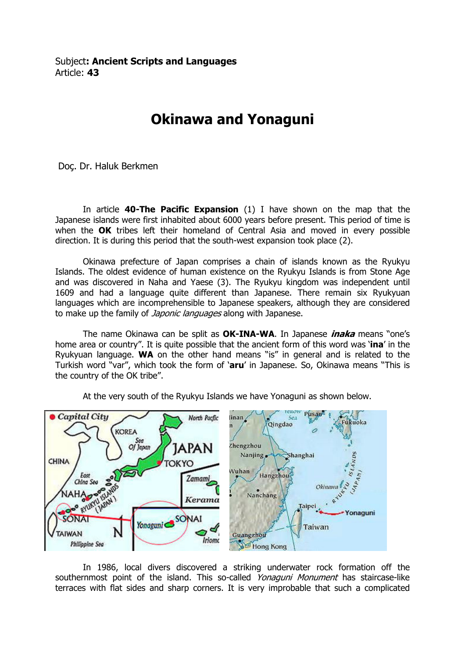Subject: Ancient Scripts and Languages Article: 43

## Okinawa and Yonaguni

Doç. Dr. Haluk Berkmen

In article  $40$ -The Pacific Expansion (1) I have shown on the map that the Japanese islands were first inhabited about 6000 years before present. This period of time is when the OK tribes left their homeland of Central Asia and moved in every possible direction. It is during this period that the south-west expansion took place (2).

 Okinawa prefecture of Japan comprises a chain of islands known as the Ryukyu Islands. The oldest evidence of human existence on the Ryukyu Islands is from Stone Age and was discovered in Naha and Yaese (3). The Ryukyu kingdom was independent until 1609 and had a language quite different than Japanese. There remain six Ryukyuan languages which are incomprehensible to Japanese speakers, although they are considered to make up the family of *Japonic languages* along with Japanese.

The name Okinawa can be split as **OK-INA-WA**. In Japanese *inaka* means "one's home area or country". It is quite possible that the ancient form of this word was 'ina' in the Ryukyuan language. WA on the other hand means "is" in general and is related to the Turkish word "var", which took the form of 'aru' in Japanese. So, Okinawa means "This is the country of the OK tribe".



At the very south of the Ryukyu Islands we have Yonaguni as shown below.

In 1986, local divers discovered a striking underwater rock formation off the southernmost point of the island. This so-called Yonaguni Monument has staircase-like terraces with flat sides and sharp corners. It is very improbable that such a complicated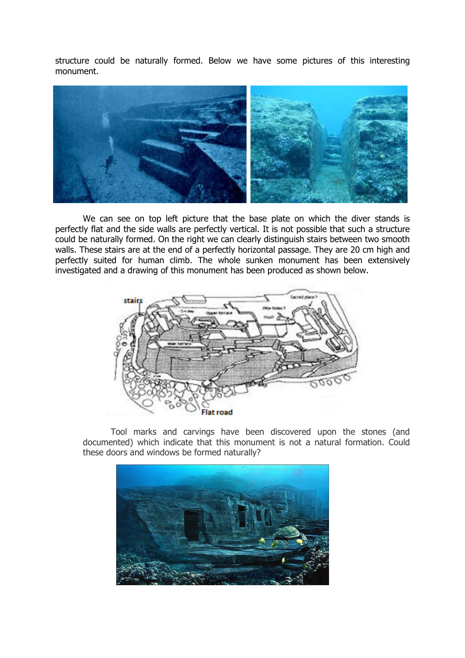structure could be naturally formed. Below we have some pictures of this interesting monument.



We can see on top left picture that the base plate on which the diver stands is perfectly flat and the side walls are perfectly vertical. It is not possible that such a structure could be naturally formed. On the right we can clearly distinguish stairs between two smooth walls. These stairs are at the end of a perfectly horizontal passage. They are 20 cm high and perfectly suited for human climb. The whole sunken monument has been extensively investigated and a drawing of this monument has been produced as shown below.



Tool marks and carvings have been discovered upon the stones (and documented) which indicate that this monument is not a natural formation. Could these doors and windows be formed naturally?